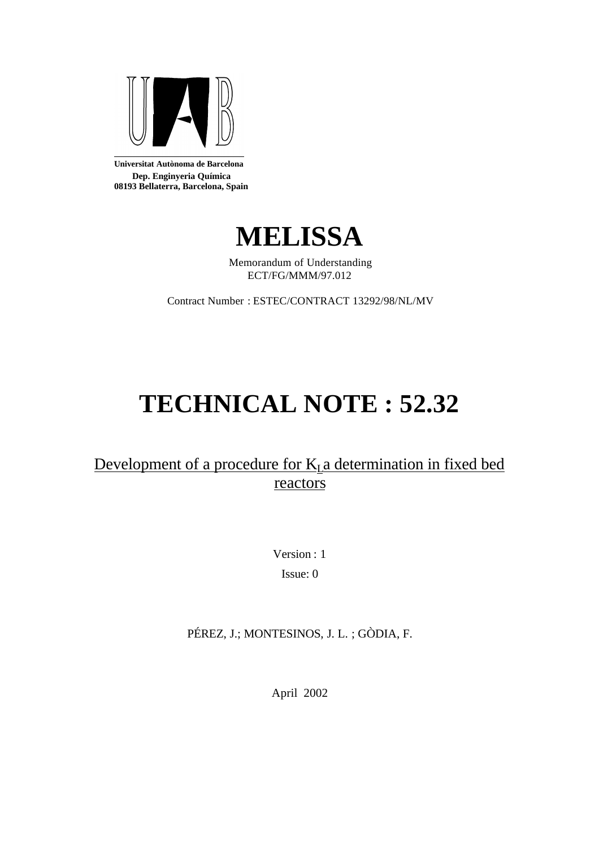

**Universitat Autònoma de Barcelona Dep. Enginyeria Química 08193 Bellaterra, Barcelona, Spain**



Memorandum of Understanding ECT/FG/MMM/97.012

Contract Number : ESTEC/CONTRACT 13292/98/NL/MV

# **TECHNICAL NOTE : 52.32**

## Development of a procedure for  $K<sub>L</sub>$ a determination in fixed bed reactors

Version : 1 Issue: 0

PÉREZ, J.; MONTESINOS, J. L. ; GÒDIA, F.

April 2002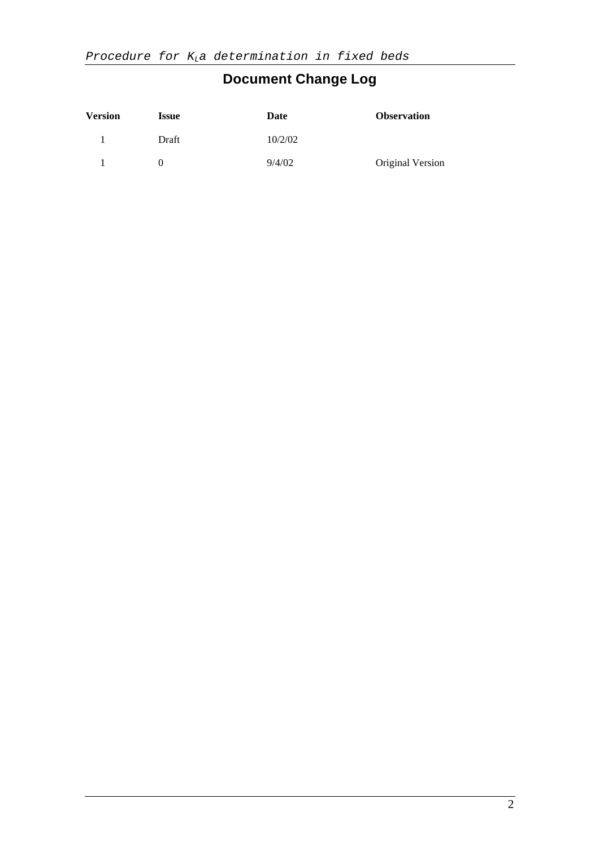# **Document Change Log**

| <b>Version</b> | <b>Issue</b>      | Date    | <b>Observation</b> |
|----------------|-------------------|---------|--------------------|
|                | Draft             | 10/2/02 |                    |
|                | $\mathbf{\Omega}$ | 9/4/02  | Original Version   |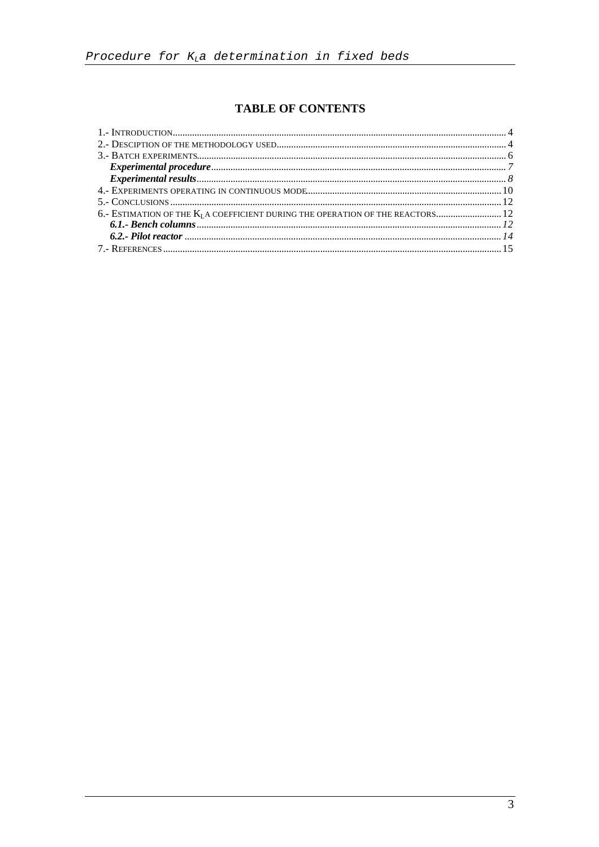### **TABLE OF CONTENTS**

| 6. ESTIMATION OF THE K <sub>I</sub> A COEFFICIENT DURING THE OPERATION OF THE REACTORS 12 |  |
|-------------------------------------------------------------------------------------------|--|
|                                                                                           |  |
|                                                                                           |  |
|                                                                                           |  |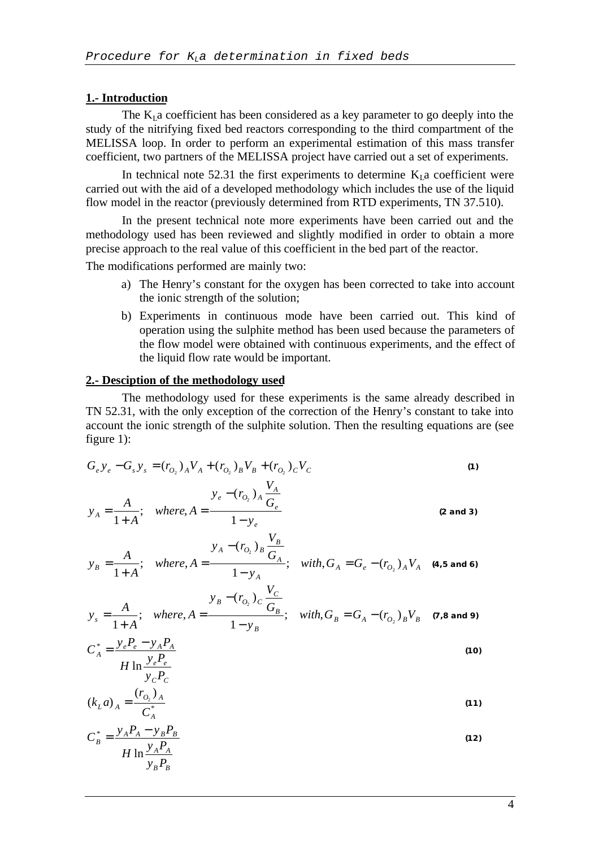#### **1.- Introduction**

The  $K<sub>L</sub>$  a coefficient has been considered as a key parameter to go deeply into the study of the nitrifying fixed bed reactors corresponding to the third compartment of the MELISSA loop. In order to perform an experimental estimation of this mass transfer coefficient, two partners of the MELISSA project have carried out a set of experiments.

In technical note 52.31 the first experiments to determine  $K<sub>L</sub>$  a coefficient were carried out with the aid of a developed methodology which includes the use of the liquid flow model in the reactor (previously determined from RTD experiments, TN 37.510).

In the present technical note more experiments have been carried out and the methodology used has been reviewed and slightly modified in order to obtain a more precise approach to the real value of this coefficient in the bed part of the reactor.

The modifications performed are mainly two:

- a) The Henry's constant for the oxygen has been corrected to take into account the ionic strength of the solution;
- b) Experiments in continuous mode have been carried out. This kind of operation using the sulphite method has been used because the parameters of the flow model were obtained with continuous experiments, and the effect of the liquid flow rate would be important.

#### **2.- Desciption of the methodology used**

The methodology used for these experiments is the same already described in TN 52.31, with the only exception of the correction of the Henry's constant to take into account the ionic strength of the sulphite solution. Then the resulting equations are (see figure 1):

$$
G_{e}y_{e} - G_{s}y_{s} = (r_{O_{2}})_{A}V_{A} + (r_{O_{2}})_{B}V_{B} + (r_{O_{2}})_{C}V_{C}
$$
\n(1)  
\n
$$
y_{A} = \frac{A}{1+A}; \text{ where, } A = \frac{y_{e} - (r_{O_{2}})_{A}\frac{V_{A}}{G_{e}}}{1 - y_{e}}
$$
\n(2 and 3)  
\n
$$
y_{B} = \frac{A}{1+A}; \text{ where, } A = \frac{y_{A} - (r_{O_{2}})_{B}\frac{V_{B}}{G_{A}}}{1 - y_{A}}; \text{ with, } G_{A} = G_{e} - (r_{O_{2}})_{A}V_{A}
$$
\n(4.5 and 6)  
\n
$$
y_{s} = \frac{A}{1+A}; \text{ where, } A = \frac{y_{B} - (r_{O_{2}})_{C}\frac{V_{C}}{G_{B}}}{1 - y_{B}}; \text{ with, } G_{B} = G_{A} - (r_{O_{2}})_{B}V_{B}
$$
\n(7.8 and 9)  
\n
$$
C_{A}^{*} = \frac{y_{e}P_{e} - y_{A}P_{A}}{H \ln \frac{y_{e}P_{e}}{V_{C}P_{C}}}
$$
\n
$$
(k_{L}a)_{A} = \frac{(r_{O_{2}})_{A}}{C_{A}^{*}}
$$
\n
$$
H \ln \frac{y_{A}P_{A}}{y_{B}P_{B}}
$$
\n(12)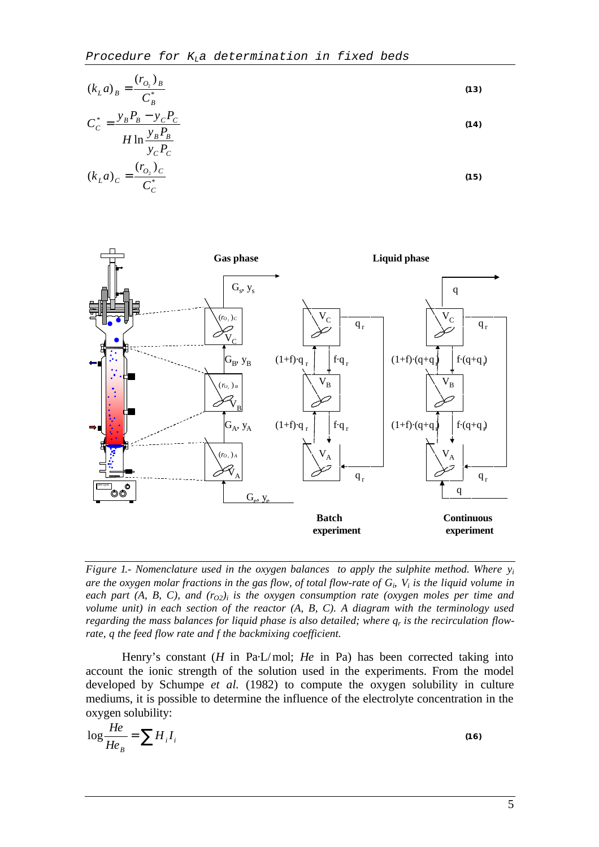$$
(kLa)B = \frac{(rO2)B}{CB*}
$$
  
\n
$$
CC* = \frac{yBPB - yCPC}{H \ln \frac{yBPB}{yCPC}
$$
  
\n
$$
(kLa)C = \frac{(rO2)C}{CC*}
$$
  
\n(15)



*Figure 1.- Nomenclature used in the oxygen balances to apply the sulphite method. Where y<sup>i</sup> are the oxygen molar fractions in the gas flow, of total flow-rate of G<sup>i</sup> , V<sup>i</sup> is the liquid volume in each part (A, B, C), and (r<sub>O2</sub>)*<sup>*i*</sup> *is the oxygen consumption rate (oxygen moles per time and volume unit) in each section of the reactor (A, B, C). A diagram with the terminology used regarding the mass balances for liquid phase is also detailed; where q<sup>r</sup> is the recirculation flowrate, q the feed flow rate and f the backmixing coefficient.*

Henry's constant (*H* in Pa·L/mol; *He* in Pa) has been corrected taking into account the ionic strength of the solution used in the experiments. From the model developed by Schumpe *et al.* (1982) to compute the oxygen solubility in culture mediums, it is possible to determine the influence of the electrolyte concentration in the oxygen solubility:

$$
\log \frac{He}{He_B} = \sum H_i I_i \tag{16}
$$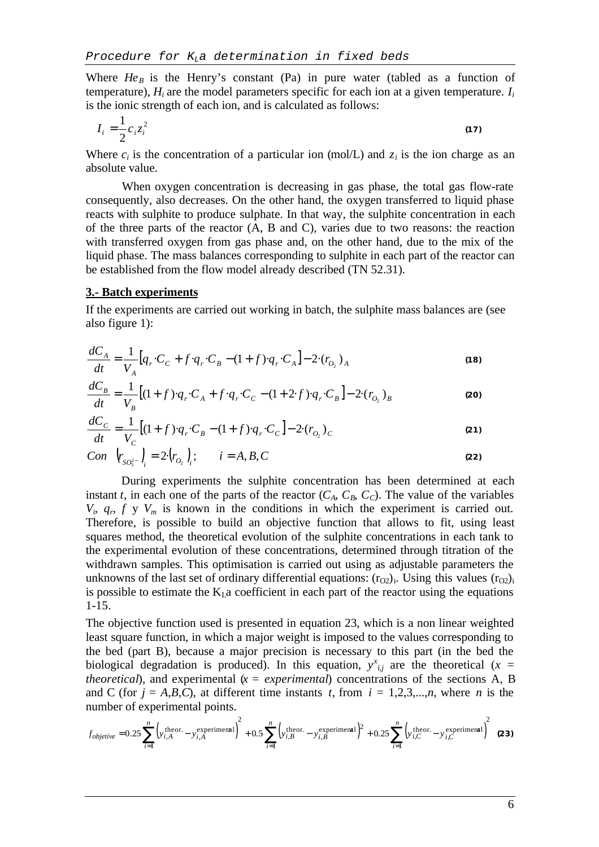Where  $He<sub>B</sub>$  is the Henry's constant (Pa) in pure water (tabled as a function of temperature),  $H_i$  are the model parameters specific for each ion at a given temperature.  $I_i$ is the ionic strength of each ion, and is calculated as follows:

$$
I_i = \frac{1}{2} c_i z_i^2 \tag{17}
$$

Where  $c_i$  is the concentration of a particular ion (mol/L) and  $z_i$  is the ion charge as an absolute value.

When oxygen concentration is decreasing in gas phase, the total gas flow-rate consequently, also decreases. On the other hand, the oxygen transferred to liquid phase reacts with sulphite to produce sulphate. In that way, the sulphite concentration in each of the three parts of the reactor (A, B and C), varies due to two reasons: the reaction with transferred oxygen from gas phase and, on the other hand, due to the mix of the liquid phase. The mass balances corresponding to sulphite in each part of the reactor can be established from the flow model already described (TN 52.31).

#### **3.- Batch experiments**

If the experiments are carried out working in batch, the sulphite mass balances are (see also figure 1):

$$
\frac{dC_A}{dt} = \frac{1}{V_A} [q_r \cdot C_C + f \cdot q_r \cdot C_B - (1+f) \cdot q_r \cdot C_A] - 2 \cdot (r_{O_2})_A
$$
\n(18)

$$
\frac{dC_B}{dt} = \frac{1}{V_B} \left[ (1+f) \cdot q_r \cdot C_A + f \cdot q_r \cdot C_C - (1+2 \cdot f) \cdot q_r \cdot C_B \right] - 2 \cdot (r_{O_2})_B
$$
\n(20)

$$
\frac{dC_C}{dt} = \frac{1}{V_C} \left[ (1+f) \cdot q_r \cdot C_B - (1+f) \cdot q_r \cdot C_C \right] - 2 \cdot (r_{O_2})_C \tag{21}
$$

Con 
$$
\left(r_{SO_3^{2^-}}\right)_i = 2\left(r_{O_2}\right)_i
$$
;  $i = A, B, C$  (22)

During experiments the sulphite concentration has been determined at each instant *t*, in each one of the parts of the reactor  $(C_A, C_B, C_C)$ . The value of the variables  $V_i$ ,  $q_r$ ,  $f$   $y$   $V_m$  is known in the conditions in which the experiment is carried out. Therefore, is possible to build an objective function that allows to fit, using least squares method, the theoretical evolution of the sulphite concentrations in each tank to the experimental evolution of these concentrations, determined through titration of the withdrawn samples. This optimisation is carried out using as adjustable parameters the unknowns of the last set of ordinary differential equations:  $(r_{O2})$ <sub>i</sub>. Using this values  $(r_{O2})$ <sub>i</sub> is possible to estimate the  $K<sub>L</sub>$ a coefficient in each part of the reactor using the equations 1-15.

The objective function used is presented in equation 23, which is a non linear weighted least square function, in which a major weight is imposed to the values corresponding to the bed (part B), because a major precision is necessary to this part (in the bed the biological degradation is produced). In this equation,  $y^x_{i,j}$  are the theoretical ( $x =$ *theoretical*), and experimental  $(x = experimenta)$  concentrations of the sections A, B and C (for  $j = A, B, C$ ), at different time instants *t*, from  $i = 1, 2, 3, \dots, n$ , where *n* is the number of experimental points.

$$
f_{objective} = 0.25 \sum_{i=1}^{n} \left( y_{i,A}^{\text{theor}} - y_{i,A}^{\text{experimental}} \right)^2 + 0.5 \sum_{i=1}^{n} \left( y_{i,B}^{\text{theor}} - y_{i,B}^{\text{experimental}} \right)^2 + 0.25 \sum_{i=1}^{n} \left( y_{i,C}^{\text{theor}} - y_{i,C}^{\text{experimental}} \right)^2
$$
 (23)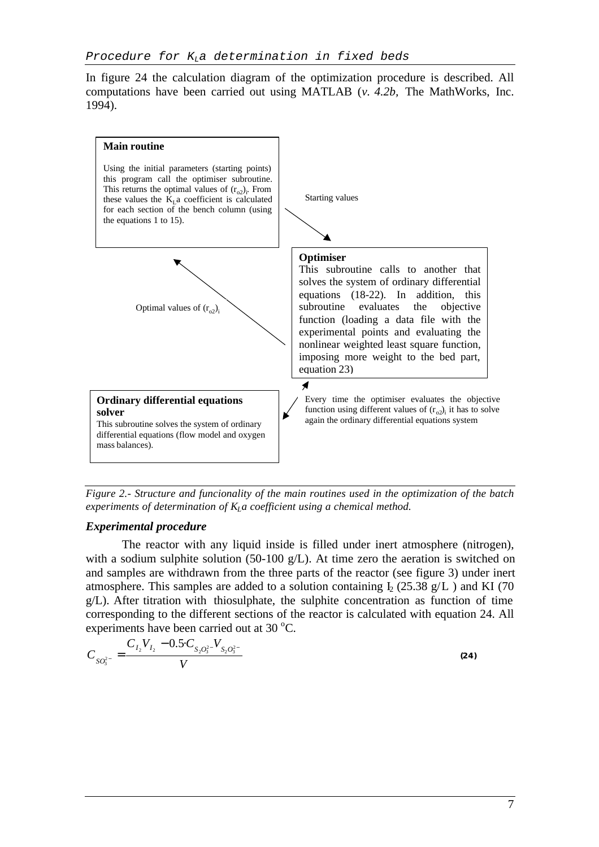In figure 24 the calculation diagram of the optimization procedure is described. All computations have been carried out using MATLAB (*v. 4.2b,* The MathWorks, Inc. 1994).



*Figure 2.- Structure and funcionality of the main routines used in the optimization of the batch experiments of determination of KLa coefficient using a chemical method.*

#### *Experimental procedure*

The reactor with any liquid inside is filled under inert atmosphere (nitrogen), with a sodium sulphite solution (50-100  $g/L$ ). At time zero the aeration is switched on and samples are withdrawn from the three parts of the reactor (see figure 3) under inert atmosphere. This samples are added to a solution containing  $I_2$  (25.38 g/L) and KI (70 g/L). After titration with thiosulphate, the sulphite concentration as function of time corresponding to the different sections of the reactor is calculated with equation 24. All experiments have been carried out at  $30^{\circ}$ C.

$$
C_{SO_3^{2-}} = \frac{C_{I_2} V_{I_2} - 0.5 \cdot C_{S_2 O_3^{2-}} V_{S_2 O_3^{2-}}}{V}
$$
\n(24)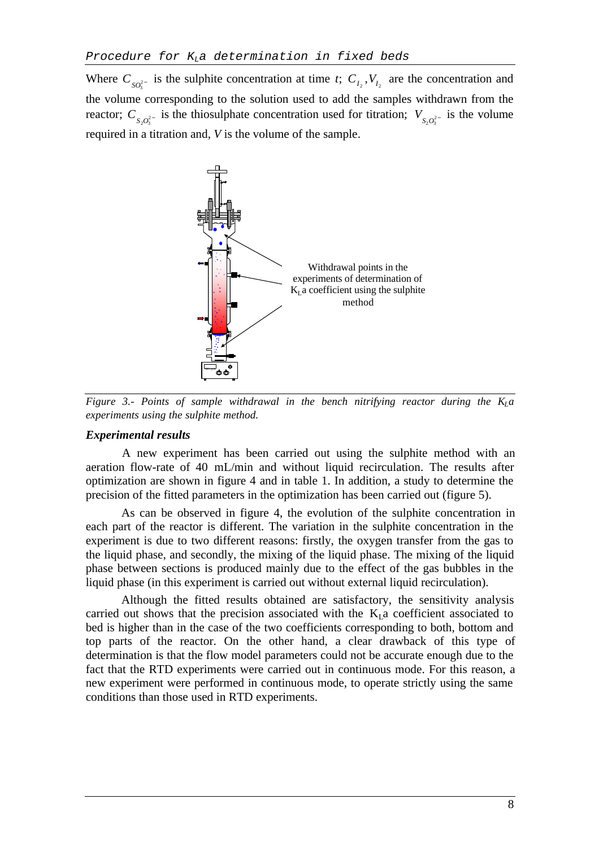Where  $C_{SO_3^{2-}}$  is the sulphite concentration at time *t*;  $C_{I_2}$ ,  $V_{I_2}$  are the concentration and the volume corresponding to the solution used to add the samples withdrawn from the reactor;  $C_{S_2O_3^{2-}}$  is the thiosulphate concentration used for titration;  $V_{S_2O_3^{2-}}$  is the volume required in a titration and, *V* is the volume of the sample.



*Figure 3.- Points of sample withdrawal in the bench nitrifying reactor during the*  $K_l a$ *experiments using the sulphite method.*

#### *Experimental results*

A new experiment has been carried out using the sulphite method with an aeration flow-rate of 40 mL/min and without liquid recirculation. The results after optimization are shown in figure 4 and in table 1. In addition, a study to determine the precision of the fitted parameters in the optimization has been carried out (figure 5).

As can be observed in figure 4, the evolution of the sulphite concentration in each part of the reactor is different. The variation in the sulphite concentration in the experiment is due to two different reasons: firstly, the oxygen transfer from the gas to the liquid phase, and secondly, the mixing of the liquid phase. The mixing of the liquid phase between sections is produced mainly due to the effect of the gas bubbles in the liquid phase (in this experiment is carried out without external liquid recirculation).

Although the fitted results obtained are satisfactory, the sensitivity analysis carried out shows that the precision associated with the  $K<sub>1</sub>$  a coefficient associated to bed is higher than in the case of the two coefficients corresponding to both, bottom and top parts of the reactor. On the other hand, a clear drawback of this type of determination is that the flow model parameters could not be accurate enough due to the fact that the RTD experiments were carried out in continuous mode. For this reason, a new experiment were performed in continuous mode, to operate strictly using the same conditions than those used in RTD experiments.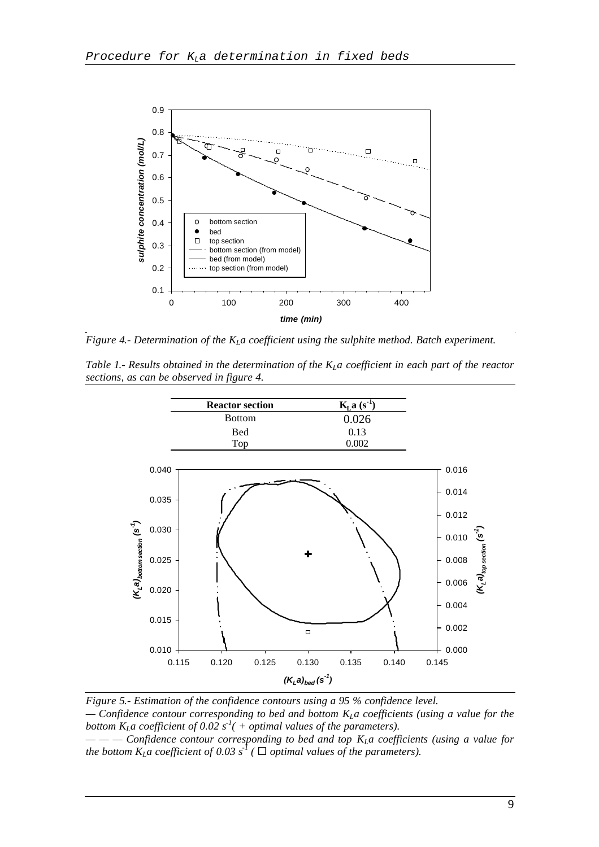

*Figure 4.- Determination of the KLa coefficient using the sulphite method. Batch experiment.*

*Table 1.- Results obtained in the determination of the KLa coefficient in each part of the reactor sections, as can be observed in figure 4.*



*Figure 5.- Estimation of the confidence contours using a 95 % confidence level. — Confidence contour corresponding to bed and bottom KLa coefficients (using a value for the bottom K<sub>L</sub>* $a$  *coefficient of 0.02*  $s<sup>1</sup>($  *+ optimal values of the parameters).* 

*— — — Confidence contour corresponding to bed and top KLa coefficients (using a value for the bottom*  $K_L a$  *coefficient of 0.03*  $s^I$  ( $\Box$  *optimal values of the parameters).*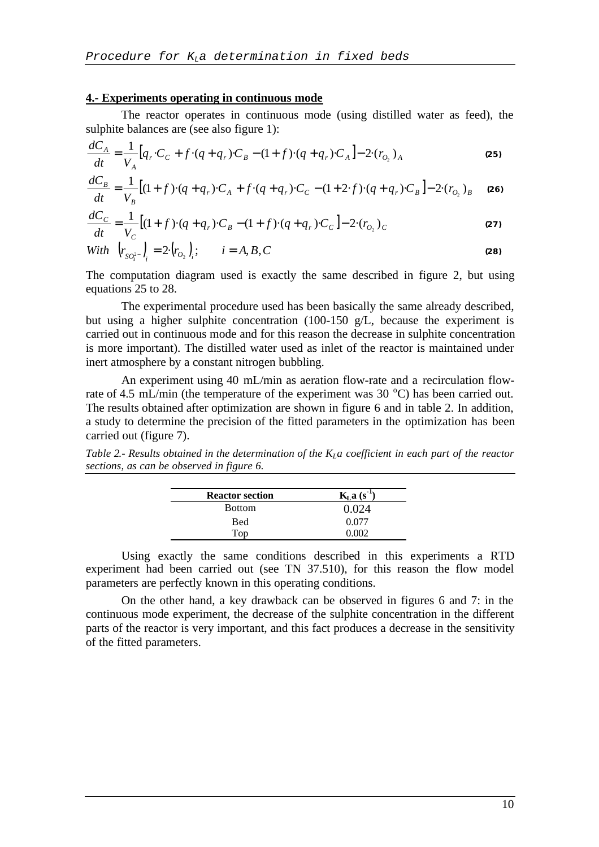#### **4.- Experiments operating in continuous mode**

The reactor operates in continuous mode (using distilled water as feed), the sulphite balances are (see also figure 1):

$$
\frac{dC_A}{dt} = \frac{1}{V_A} [q_r \cdot C_C + f \cdot (q + q_r) \cdot C_B - (1 + f) \cdot (q + q_r) \cdot C_A] - 2 \cdot (r_{O_2})_A
$$
\n(25)

$$
\frac{dC_B}{dt} = \frac{1}{V_B} \left[ (1+f) \cdot (q+q_r) \cdot C_A + f \cdot (q+q_r) \cdot C_C - (1+2 \cdot f) \cdot (q+q_r) \cdot C_B \right] - 2 \cdot (r_{O_2})_B \tag{26}
$$

$$
\frac{dC_C}{dt} = \frac{1}{V_C} \left[ (1+f) \cdot (q+q_r) \cdot C_B - (1+f) \cdot (q+q_r) \cdot C_C \right] - 2 \cdot (r_{O_2})_C \tag{27}
$$

With 
$$
\left(r_{SO_3^{2-}}\right)_i = 2 \cdot \left(r_{O_2}\right)_i
$$
;  $i = A, B, C$  (28)

The computation diagram used is exactly the same described in figure 2, but using equations 25 to 28.

The experimental procedure used has been basically the same already described, but using a higher sulphite concentration (100-150 g/L, because the experiment is carried out in continuous mode and for this reason the decrease in sulphite concentration is more important). The distilled water used as inlet of the reactor is maintained under inert atmosphere by a constant nitrogen bubbling.

An experiment using 40 mL/min as aeration flow-rate and a recirculation flowrate of 4.5 mL/min (the temperature of the experiment was  $30^{\circ}$ C) has been carried out. The results obtained after optimization are shown in figure 6 and in table 2. In addition, a study to determine the precision of the fitted parameters in the optimization has been carried out (figure 7).

*Table 2.- Results obtained in the determination of the KLa coefficient in each part of the reactor sections, as can be observed in figure 6.*

| <b>Reactor section</b> | $KLa(s-1)$ |
|------------------------|------------|
| <b>Bottom</b>          | 0.024      |
| Bed                    | 0.077      |
| Top                    |            |

Using exactly the same conditions described in this experiments a RTD experiment had been carried out (see TN 37.510), for this reason the flow model parameters are perfectly known in this operating conditions.

On the other hand, a key drawback can be observed in figures 6 and 7: in the continuous mode experiment, the decrease of the sulphite concentration in the different parts of the reactor is very important, and this fact produces a decrease in the sensitivity of the fitted parameters.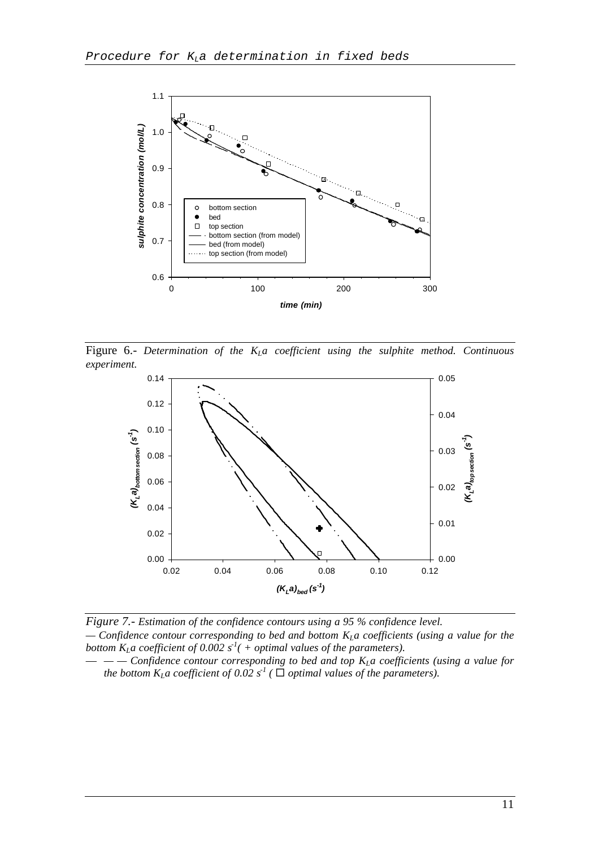

Figure 6.- *Determination of the KLa coefficient using the sulphite method. Continuous experiment.*



*Figure 7.- Estimation of the confidence contours using a 95 % confidence level. — Confidence contour corresponding to bed and bottom KLa coefficients (using a value for the bottom*  $K_l a$  *coefficient of 0.002 s<sup>1</sup>( + optimal values of the parameters).* 

— *— — Confidence contour corresponding to bed and top KLa coefficients (using a value for the bottom*  $K_L a$  *coefficient of 0.02*  $s^1$  (  $\Box$  *optimal values of the parameters).*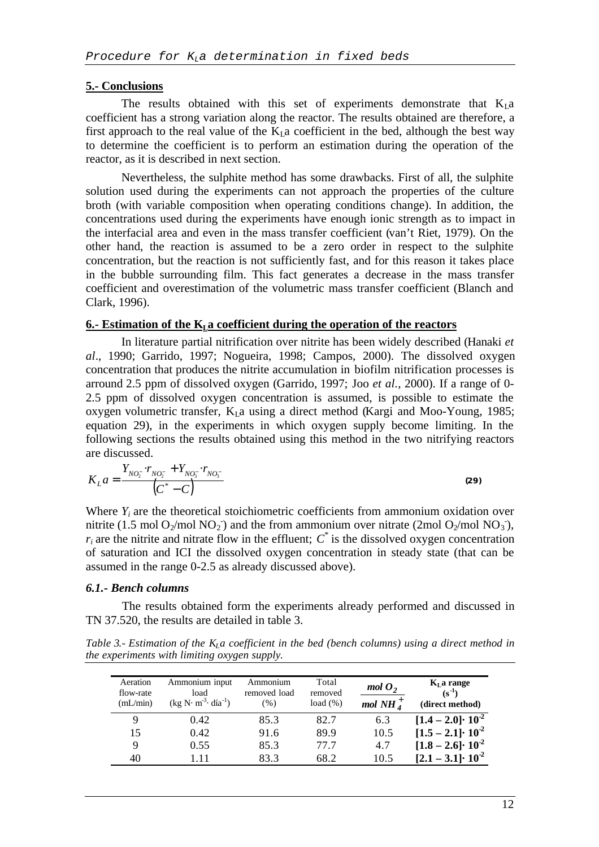#### **5.- Conclusions**

The results obtained with this set of experiments demonstrate that  $K<sub>L</sub>a$ coefficient has a strong variation along the reactor. The results obtained are therefore, a first approach to the real value of the  $K<sub>L</sub>$  a coefficient in the bed, although the best way to determine the coefficient is to perform an estimation during the operation of the reactor, as it is described in next section.

Nevertheless, the sulphite method has some drawbacks. First of all, the sulphite solution used during the experiments can not approach the properties of the culture broth (with variable composition when operating conditions change). In addition, the concentrations used during the experiments have enough ionic strength as to impact in the interfacial area and even in the mass transfer coefficient (van't Riet, 1979). On the other hand, the reaction is assumed to be a zero order in respect to the sulphite concentration, but the reaction is not sufficiently fast, and for this reason it takes place in the bubble surrounding film. This fact generates a decrease in the mass transfer coefficient and overestimation of the volumetric mass transfer coefficient (Blanch and Clark, 1996).

#### **6.- Estimation of the KLa coefficient during the operation of the reactors**

In literature partial nitrification over nitrite has been widely described (Hanaki *et al*., 1990; Garrido, 1997; Nogueira, 1998; Campos, 2000). The dissolved oxygen concentration that produces the nitrite accumulation in biofilm nitrification processes is arround 2.5 ppm of dissolved oxygen (Garrido, 1997; Joo *et al.*, 2000). If a range of 0- 2.5 ppm of dissolved oxygen concentration is assumed, is possible to estimate the oxygen volumetric transfer,  $K<sub>L</sub>a$  using a direct method (Kargi and Moo-Young, 1985; equation 29), in the experiments in which oxygen supply become limiting. In the following sections the results obtained using this method in the two nitrifying reactors are discussed.

$$
K_{L}a = \frac{Y_{NO_{2}^{-}} \cdot r_{NO_{2}^{-}} + Y_{NO_{3}^{-}} \cdot r_{NO_{3}^{-}}}{\left(C^{*} - C\right)}
$$

*(29)*

Where  $Y_i$  are the theoretical stoichiometric coefficients from ammonium oxidation over nitrite (1.5 mol  $O_2$ /mol NO<sub>2</sub>) and the from ammonium over nitrate (2mol O<sub>2</sub>/mol NO<sub>3</sub>),  $r_i$  are the nitrite and nitrate flow in the effluent;  $C^*$  is the dissolved oxygen concentration of saturation and ICI the dissolved oxygen concentration in steady state (that can be assumed in the range 0-2.5 as already discussed above).

#### *6.1.- Bench columns*

The results obtained form the experiments already performed and discussed in TN 37.520, the results are detailed in table 3.

*Table 3.- Estimation of the KLa coefficient in the bed (bench columns) using a direct method in the experiments with limiting oxygen supply.*

| Aeration<br>flow-rate<br>(mL/min) | Ammonium input<br>load<br>$(kg N·m-3·día-1)$ | Ammonium<br>removed load<br>$(\%)$ | Total<br>removed<br>load $(\% )$ | molO <sub>2</sub><br>mol NH $_A^+$ | $KL$ a range<br>$(s^{-1})$<br>(direct method) |
|-----------------------------------|----------------------------------------------|------------------------------------|----------------------------------|------------------------------------|-----------------------------------------------|
|                                   | 0.42                                         | 85.3                               | 82.7                             | 6.3                                | $[1.4 - 2.0] \cdot 10^{2}$                    |
| 15                                | 0.42                                         | 91.6                               | 89.9                             | 10.5                               | $[1.5 - 2.1]$ $\cdot 10^{-2}$                 |
| 9                                 | 0.55                                         | 85.3                               | 77.7                             | 4.7                                | $[1.8 - 2.6] \cdot 10^{-2}$                   |
| 40                                | l 11                                         | 83.3                               | 68.2                             | 10.5                               | $[2.1 - 3.1]$ $\cdot 10^{-2}$                 |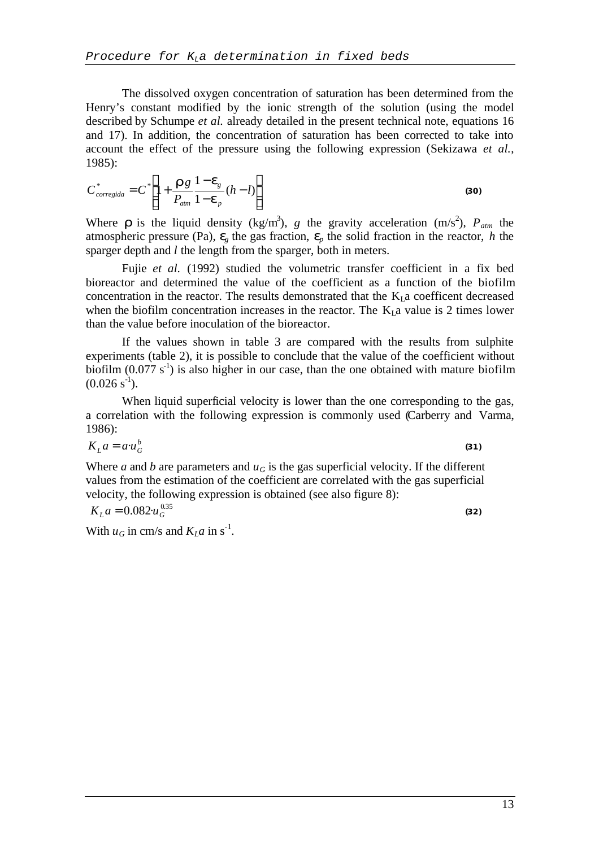The dissolved oxygen concentration of saturation has been determined from the Henry's constant modified by the ionic strength of the solution (using the model described by Schumpe *et al.* already detailed in the present technical note, equations 16 and 17). In addition, the concentration of saturation has been corrected to take into account the effect of the pressure using the following expression (Sekizawa *et al.*, 1985):

$$
C_{corregida}^* = C^* \left[ 1 + \frac{\mathbf{r}_g}{P_{\text{atm}}} \frac{1 - \mathbf{e}_g}{1 - \mathbf{e}_p} (h - l) \right]
$$
(30)

Where **r** is the liquid density (kg/m<sup>3</sup>), g the gravity acceleration (m/s<sup>2</sup>),  $P_{atm}$  the atmospheric pressure (Pa),  $e_a$  the gas fraction,  $e_a$  the solid fraction in the reactor, *h* the sparger depth and *l* the length from the sparger, both in meters.

Fujie *et al.* (1992) studied the volumetric transfer coefficient in a fix bed bioreactor and determined the value of the coefficient as a function of the biofilm concentration in the reactor. The results demonstrated that the  $K_l$  a coefficent decreased when the biofilm concentration increases in the reactor. The  $K<sub>I</sub>$  a value is 2 times lower than the value before inoculation of the bioreactor.

If the values shown in table 3 are compared with the results from sulphite experiments (table 2), it is possible to conclude that the value of the coefficient without biofilm  $(0.077 \text{ s}^{-1})$  is also higher in our case, than the one obtained with mature biofilm  $(0.026 \text{ s}^{-1})$ .

When liquid superficial velocity is lower than the one corresponding to the gas, a correlation with the following expression is commonly used (Carberry and Varma, 1986):

$$
K_L a = a \cdot u_G^b \tag{31}
$$

Where *a* and *b* are parameters and  $u_G$  is the gas superficial velocity. If the different values from the estimation of the coefficient are correlated with the gas superficial velocity, the following expression is obtained (see also figure 8):

$$
K_{L}a = 0.082 u_{G}^{0.35}
$$

With  $u_G$  in cm/s and  $K_L a$  in s<sup>-1</sup>.

*(32)*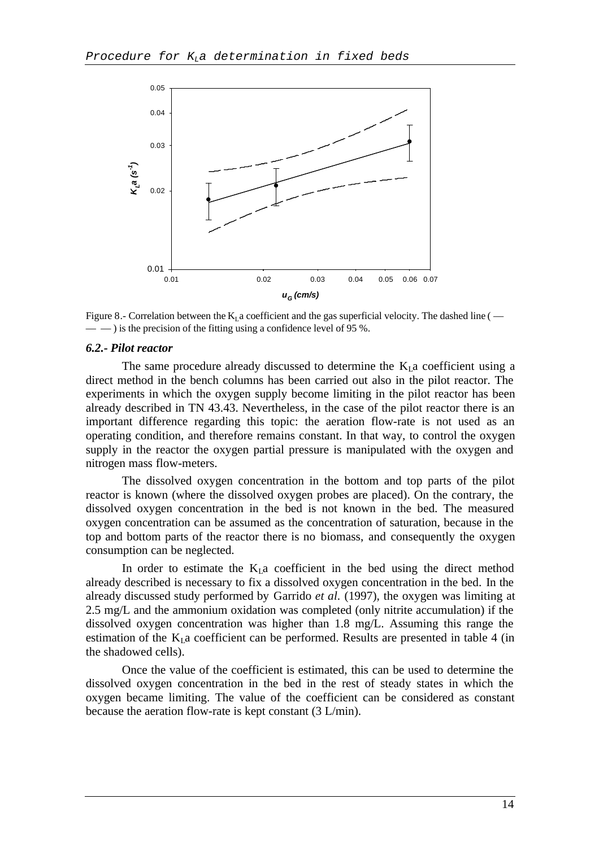

Figure 8.- Correlation between the  $K<sub>1</sub>$  a coefficient and the gas superficial velocity. The dashed line ( $-$  ) is the precision of the fitting using a confidence level of 95 %.

#### *6.2.- Pilot reactor*

The same procedure already discussed to determine the  $K<sub>L</sub>$  coefficient using a direct method in the bench columns has been carried out also in the pilot reactor. The experiments in which the oxygen supply become limiting in the pilot reactor has been already described in TN 43.43. Nevertheless, in the case of the pilot reactor there is an important difference regarding this topic: the aeration flow-rate is not used as an operating condition, and therefore remains constant. In that way, to control the oxygen supply in the reactor the oxygen partial pressure is manipulated with the oxygen and nitrogen mass flow-meters.

The dissolved oxygen concentration in the bottom and top parts of the pilot reactor is known (where the dissolved oxygen probes are placed). On the contrary, the dissolved oxygen concentration in the bed is not known in the bed. The measured oxygen concentration can be assumed as the concentration of saturation, because in the top and bottom parts of the reactor there is no biomass, and consequently the oxygen consumption can be neglected.

In order to estimate the  $K<sub>L</sub>a$  coefficient in the bed using the direct method already described is necessary to fix a dissolved oxygen concentration in the bed. In the already discussed study performed by Garrido *et al.* (1997), the oxygen was limiting at 2.5 mg/L and the ammonium oxidation was completed (only nitrite accumulation) if the dissolved oxygen concentration was higher than 1.8 mg/L. Assuming this range the estimation of the  $K<sub>L</sub>$  a coefficient can be performed. Results are presented in table 4 (in the shadowed cells).

Once the value of the coefficient is estimated, this can be used to determine the dissolved oxygen concentration in the bed in the rest of steady states in which the oxygen became limiting. The value of the coefficient can be considered as constant because the aeration flow-rate is kept constant (3 L/min).